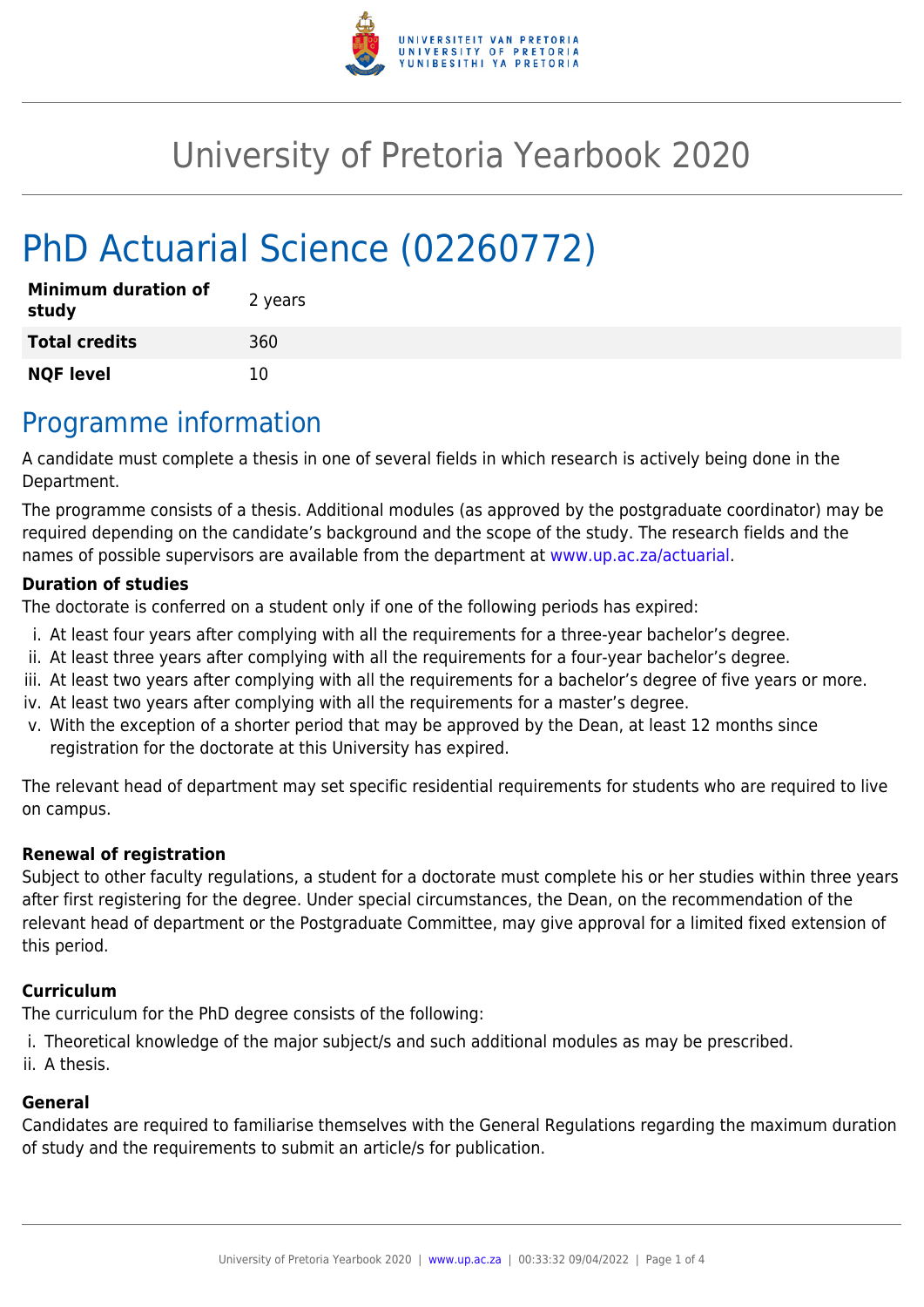

# University of Pretoria Yearbook 2020

# PhD Actuarial Science (02260772)

| <b>Minimum duration of</b><br>study | 2 years |
|-------------------------------------|---------|
| <b>Total credits</b>                | 360     |
| <b>NQF level</b>                    | 10      |

### Programme information

A candidate must complete a thesis in one of several fields in which research is actively being done in the Department.

The programme consists of a thesis. Additional modules (as approved by the postgraduate coordinator) may be required depending on the candidate's background and the scope of the study. The research fields and the names of possible supervisors are available from the department at [www.up.ac.za/actuarial](http://www.up.ac.za/actuarial).

#### **Duration of studies**

The doctorate is conferred on a student only if one of the following periods has expired:

- i. At least four years after complying with all the requirements for a three-year bachelor's degree.
- ii. At least three years after complying with all the requirements for a four-year bachelor's degree.
- iii. At least two years after complying with all the requirements for a bachelor's degree of five years or more.
- iv. At least two years after complying with all the requirements for a master's degree.
- v. With the exception of a shorter period that may be approved by the Dean, at least 12 months since registration for the doctorate at this University has expired.

The relevant head of department may set specific residential requirements for students who are required to live on campus.

#### **Renewal of registration**

Subject to other faculty regulations, a student for a doctorate must complete his or her studies within three years after first registering for the degree. Under special circumstances, the Dean, on the recommendation of the relevant head of department or the Postgraduate Committee, may give approval for a limited fixed extension of this period.

#### **Curriculum**

The curriculum for the PhD degree consists of the following:

i. Theoretical knowledge of the major subject/s and such additional modules as may be prescribed.

ii. A thesis.

#### **General**

Candidates are required to familiarise themselves with the General Regulations regarding the maximum duration of study and the requirements to submit an article/s for publication.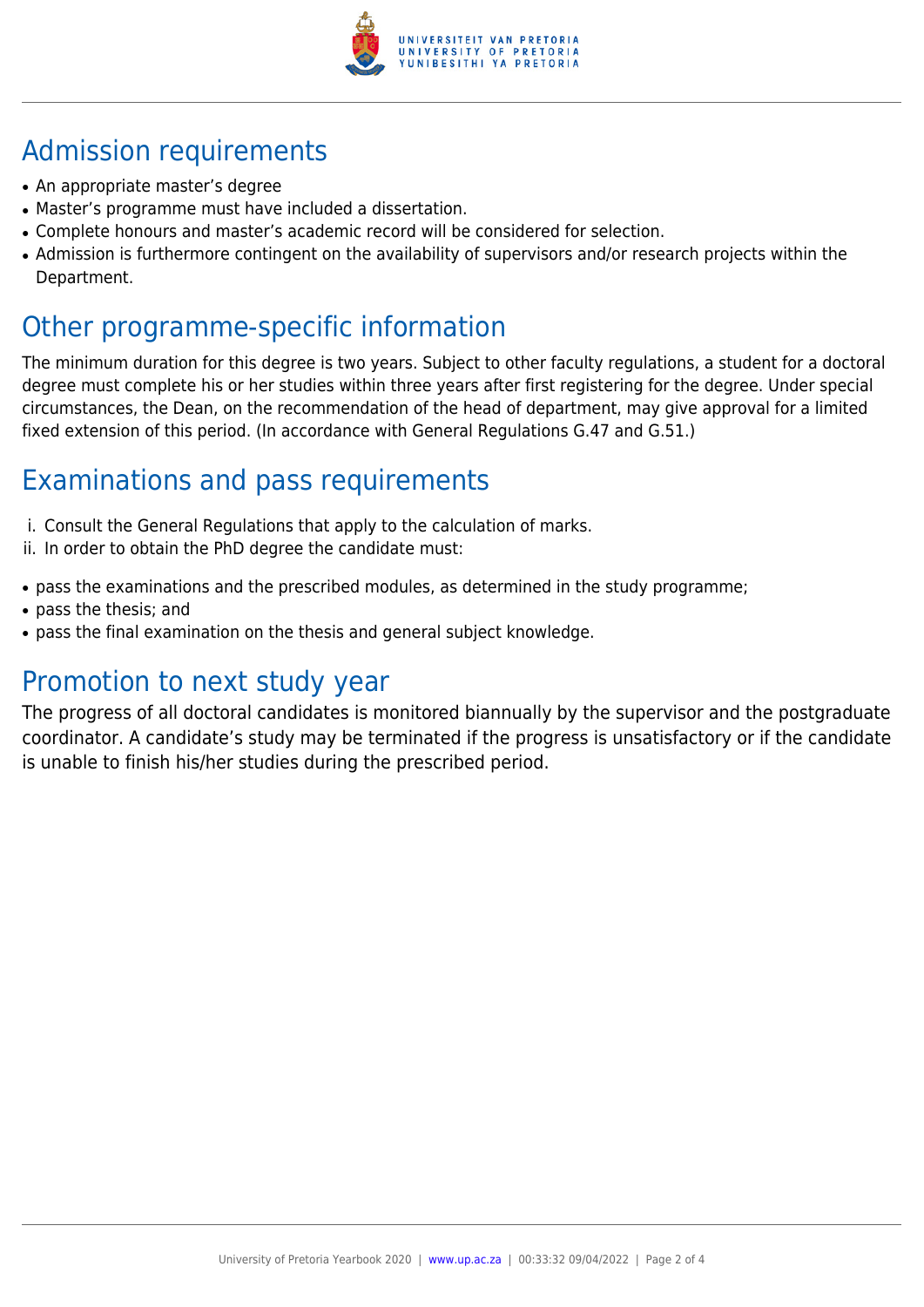

# Admission requirements

- An appropriate master's degree
- Master's programme must have included a dissertation.
- Complete honours and master's academic record will be considered for selection.
- Admission is furthermore contingent on the availability of supervisors and/or research projects within the Department.

### Other programme-specific information

The minimum duration for this degree is two years. Subject to other faculty regulations, a student for a doctoral degree must complete his or her studies within three years after first registering for the degree. Under special circumstances, the Dean, on the recommendation of the head of department, may give approval for a limited fixed extension of this period. (In accordance with General Regulations G.47 and G.51.)

## Examinations and pass requirements

- i. Consult the General Regulations that apply to the calculation of marks.
- ii. In order to obtain the PhD degree the candidate must:
- pass the examinations and the prescribed modules, as determined in the study programme;
- pass the thesis; and
- pass the final examination on the thesis and general subject knowledge.

### Promotion to next study year

The progress of all doctoral candidates is monitored biannually by the supervisor and the postgraduate coordinator. A candidate's study may be terminated if the progress is unsatisfactory or if the candidate is unable to finish his/her studies during the prescribed period.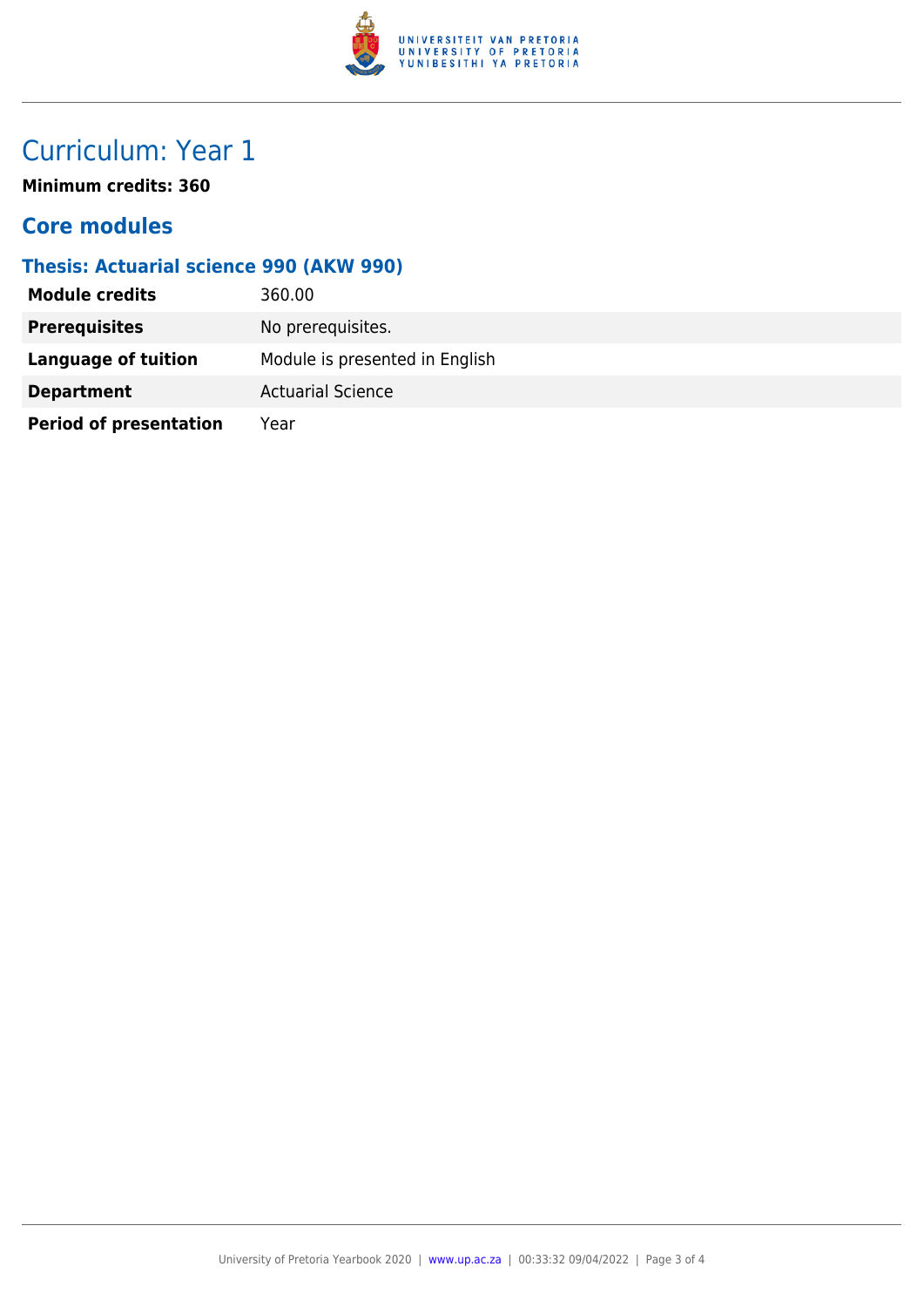

## Curriculum: Year 1

**Minimum credits: 360**

### **Core modules**

#### **Thesis: Actuarial science 990 (AKW 990)**

| <b>Module credits</b>         | 360.00                         |
|-------------------------------|--------------------------------|
| <b>Prerequisites</b>          | No prerequisites.              |
| Language of tuition           | Module is presented in English |
| <b>Department</b>             | <b>Actuarial Science</b>       |
| <b>Period of presentation</b> | Year                           |